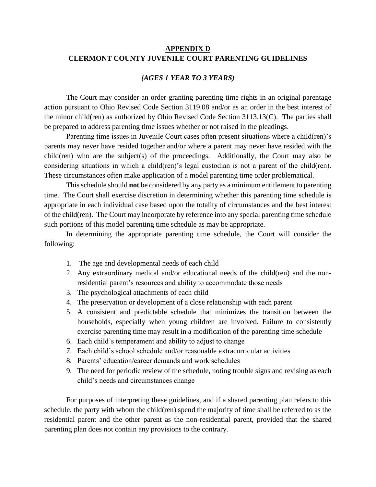## **APPENDIX D CLERMONT COUNTY JUVENILE COURT PARENTING GUIDELINES**

#### *(AGES 1 YEAR TO 3 YEARS)*

The Court may consider an order granting parenting time rights in an original parentage action pursuant to Ohio Revised Code Section 3119.08 and/or as an order in the best interest of the minor child(ren) as authorized by Ohio Revised Code Section 3113.13(C). The parties shall be prepared to address parenting time issues whether or not raised in the pleadings.

Parenting time issues in Juvenile Court cases often present situations where a child(ren)'s parents may never have resided together and/or where a parent may never have resided with the child(ren) who are the subject(s) of the proceedings. Additionally, the Court may also be considering situations in which a child(ren)'s legal custodian is not a parent of the child(ren). These circumstances often make application of a model parenting time order problematical.

This schedule should **not** be considered by any party as a minimum entitlement to parenting time. The Court shall exercise discretion in determining whether this parenting time schedule is appropriate in each individual case based upon the totality of circumstances and the best interest of the child(ren). The Court may incorporate by reference into any special parenting time schedule such portions of this model parenting time schedule as may be appropriate.

In determining the appropriate parenting time schedule, the Court will consider the following:

- 1. The age and developmental needs of each child
- 2. Any extraordinary medical and/or educational needs of the child(ren) and the nonresidential parent's resources and ability to accommodate those needs
- 3. The psychological attachments of each child
- 4. The preservation or development of a close relationship with each parent
- 5. A consistent and predictable schedule that minimizes the transition between the households, especially when young children are involved. Failure to consistently exercise parenting time may result in a modification of the parenting time schedule
- 6. Each child's temperament and ability to adjust to change
- 7. Each child's school schedule and/or reasonable extracurricular activities
- 8. Parents' education/career demands and work schedules
- 9. The need for periodic review of the schedule, noting trouble signs and revising as each child's needs and circumstances change

For purposes of interpreting these guidelines, and if a shared parenting plan refers to this schedule, the party with whom the child(ren) spend the majority of time shall be referred to as the residential parent and the other parent as the non-residential parent, provided that the shared parenting plan does not contain any provisions to the contrary.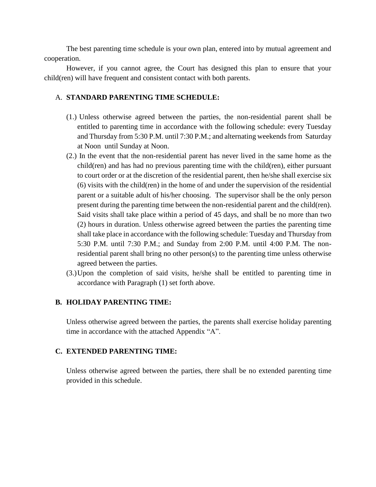The best parenting time schedule is your own plan, entered into by mutual agreement and cooperation.

However, if you cannot agree, the Court has designed this plan to ensure that your child(ren) will have frequent and consistent contact with both parents.

# A. **STANDARD PARENTING TIME SCHEDULE:**

- (1.) Unless otherwise agreed between the parties, the non-residential parent shall be entitled to parenting time in accordance with the following schedule: every Tuesday and Thursday from 5:30 P.M. until 7:30 P.M.; and alternating weekends from Saturday at Noon until Sunday at Noon.
- (2.) In the event that the non-residential parent has never lived in the same home as the child(ren) and has had no previous parenting time with the child(ren), either pursuant to court order or at the discretion of the residential parent, then he/she shall exercise six (6) visits with the child(ren) in the home of and under the supervision of the residential parent or a suitable adult of his/her choosing. The supervisor shall be the only person present during the parenting time between the non-residential parent and the child(ren). Said visits shall take place within a period of 45 days, and shall be no more than two (2) hours in duration. Unless otherwise agreed between the parties the parenting time shall take place in accordance with the following schedule: Tuesday and Thursday from 5:30 P.M. until 7:30 P.M.; and Sunday from 2:00 P.M. until 4:00 P.M. The nonresidential parent shall bring no other person(s) to the parenting time unless otherwise agreed between the parties.
- (3.)Upon the completion of said visits, he/she shall be entitled to parenting time in accordance with Paragraph (1) set forth above.

## **B. HOLIDAY PARENTING TIME:**

Unless otherwise agreed between the parties, the parents shall exercise holiday parenting time in accordance with the attached Appendix "A".

## **C. EXTENDED PARENTING TIME:**

Unless otherwise agreed between the parties, there shall be no extended parenting time provided in this schedule.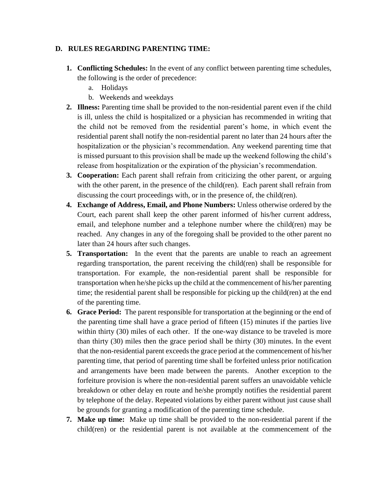## **D. RULES REGARDING PARENTING TIME:**

- **1. Conflicting Schedules:** In the event of any conflict between parenting time schedules, the following is the order of precedence:
	- a. Holidays
	- b. Weekends and weekdays
- **2. Illness:** Parenting time shall be provided to the non-residential parent even if the child is ill, unless the child is hospitalized or a physician has recommended in writing that the child not be removed from the residential parent's home, in which event the residential parent shall notify the non-residential parent no later than 24 hours after the hospitalization or the physician's recommendation. Any weekend parenting time that is missed pursuant to this provision shall be made up the weekend following the child's release from hospitalization or the expiration of the physician's recommendation.
- **3. Cooperation:** Each parent shall refrain from criticizing the other parent, or arguing with the other parent, in the presence of the child(ren). Each parent shall refrain from discussing the court proceedings with, or in the presence of, the child(ren).
- **4. Exchange of Address, Email, and Phone Numbers:** Unless otherwise ordered by the Court, each parent shall keep the other parent informed of his/her current address, email, and telephone number and a telephone number where the child(ren) may be reached. Any changes in any of the foregoing shall be provided to the other parent no later than 24 hours after such changes.
- **5. Transportation:** In the event that the parents are unable to reach an agreement regarding transportation, the parent receiving the child(ren) shall be responsible for transportation. For example, the non-residential parent shall be responsible for transportation when he/she picks up the child at the commencement of his/her parenting time; the residential parent shall be responsible for picking up the child(ren) at the end of the parenting time.
- **6. Grace Period:** The parent responsible for transportation at the beginning or the end of the parenting time shall have a grace period of fifteen (15) minutes if the parties live within thirty (30) miles of each other. If the one-way distance to be traveled is more than thirty (30) miles then the grace period shall be thirty (30) minutes. In the event that the non-residential parent exceeds the grace period at the commencement of his/her parenting time, that period of parenting time shall be forfeited unless prior notification and arrangements have been made between the parents. Another exception to the forfeiture provision is where the non-residential parent suffers an unavoidable vehicle breakdown or other delay en route and he/she promptly notifies the residential parent by telephone of the delay. Repeated violations by either parent without just cause shall be grounds for granting a modification of the parenting time schedule.
- **7. Make up time:** Make up time shall be provided to the non-residential parent if the child(ren) or the residential parent is not available at the commencement of the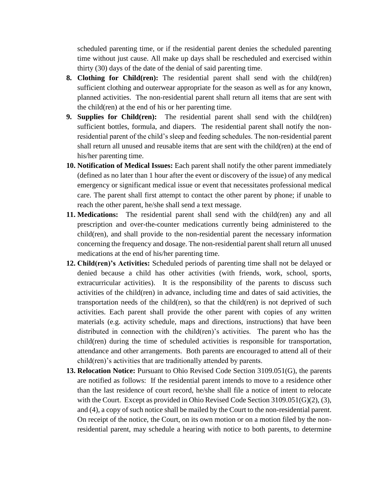scheduled parenting time, or if the residential parent denies the scheduled parenting time without just cause. All make up days shall be rescheduled and exercised within thirty (30) days of the date of the denial of said parenting time.

- **8. Clothing for Child(ren):** The residential parent shall send with the child(ren) sufficient clothing and outerwear appropriate for the season as well as for any known, planned activities. The non-residential parent shall return all items that are sent with the child(ren) at the end of his or her parenting time.
- **9. Supplies for Child(ren):** The residential parent shall send with the child(ren) sufficient bottles, formula, and diapers. The residential parent shall notify the nonresidential parent of the child's sleep and feeding schedules. The non-residential parent shall return all unused and reusable items that are sent with the child(ren) at the end of his/her parenting time.
- **10. Notification of Medical Issues:** Each parent shall notify the other parent immediately (defined as no later than 1 hour after the event or discovery of the issue) of any medical emergency or significant medical issue or event that necessitates professional medical care. The parent shall first attempt to contact the other parent by phone; if unable to reach the other parent, he/she shall send a text message.
- **11. Medications:** The residential parent shall send with the child(ren) any and all prescription and over-the-counter medications currently being administered to the child(ren), and shall provide to the non-residential parent the necessary information concerning the frequency and dosage. The non-residential parent shall return all unused medications at the end of his/her parenting time.
- **12. Child(ren)'s Activities:** Scheduled periods of parenting time shall not be delayed or denied because a child has other activities (with friends, work, school, sports, extracurricular activities). It is the responsibility of the parents to discuss such activities of the child(ren) in advance, including time and dates of said activities, the transportation needs of the child(ren), so that the child(ren) is not deprived of such activities. Each parent shall provide the other parent with copies of any written materials (e.g. activity schedule, maps and directions, instructions) that have been distributed in connection with the child(ren)'s activities. The parent who has the child(ren) during the time of scheduled activities is responsible for transportation, attendance and other arrangements. Both parents are encouraged to attend all of their child(ren)'s activities that are traditionally attended by parents.
- **13. Relocation Notice:** Pursuant to Ohio Revised Code Section 3109.051(G), the parents are notified as follows: If the residential parent intends to move to a residence other than the last residence of court record, he/she shall file a notice of intent to relocate with the Court. Except as provided in Ohio Revised Code Section 3109.051(G)(2), (3), and (4), a copy of such notice shall be mailed by the Court to the non-residential parent. On receipt of the notice, the Court, on its own motion or on a motion filed by the nonresidential parent, may schedule a hearing with notice to both parents, to determine